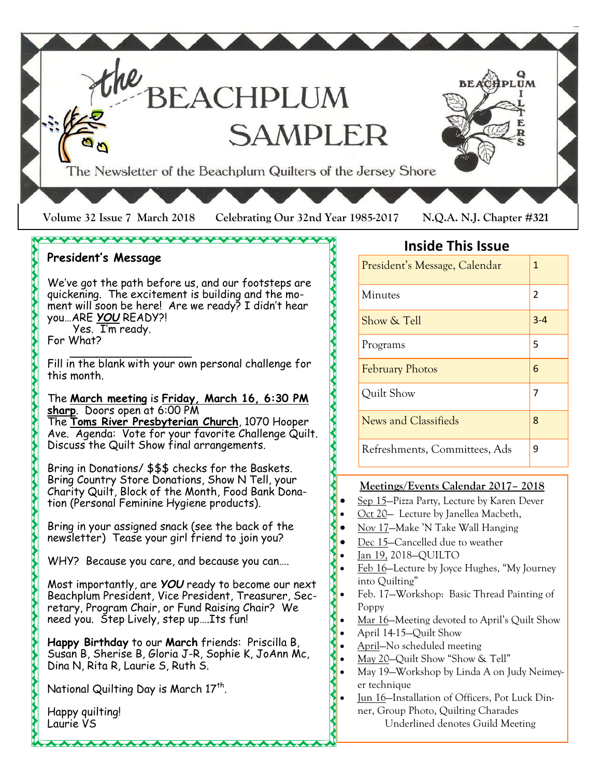

#### **President's Message**

We've got the path before us, and our footsteps are quickening. The excitement is building and the moment will soon be here! Are we ready? I didn't hear you…ARE *YOU* READY?! Yes. I'm ready.

\\\\\\\\\\\\\\\\\\\\\\\\\\\\\\\

For What?

 $\overline{\phantom{a}}$  ,  $\overline{\phantom{a}}$  ,  $\overline{\phantom{a}}$  ,  $\overline{\phantom{a}}$  ,  $\overline{\phantom{a}}$  ,  $\overline{\phantom{a}}$  ,  $\overline{\phantom{a}}$  ,  $\overline{\phantom{a}}$  ,  $\overline{\phantom{a}}$  ,  $\overline{\phantom{a}}$  ,  $\overline{\phantom{a}}$  ,  $\overline{\phantom{a}}$  ,  $\overline{\phantom{a}}$  ,  $\overline{\phantom{a}}$  ,  $\overline{\phantom{a}}$  ,  $\overline{\phantom{a}}$ Fill in the blank with your own personal challenge for this month.

#### The **March meeting** is **Friday, March 16, 6:30 PM sharp**. Doors open at 6:00 PM

The **Toms River Presbyterian Church**, 1070 Hooper Ave. Agenda: Vote for your favorite Challenge Quilt. Discuss the Quilt Show final arrangements.

Bring in Donations/ \$\$\$ checks for the Baskets. Bring Country Store Donations, Show N Tell, your Charity Quilt, Block of the Month, Food Bank Donation (Personal Feminine Hygiene products).

Bring in your assigned snack (see the back of the newsletter) Tease your girl friend to join you?

WHY? Because you care, and because you can....

Most importantly, are *YOU* ready to become our next Beachplum President, Vice President, Treasurer, Secretary, Program Chair, or Fund Raising Chair? We need you. Step Lively, step up….Its fun!

**Happy Birthday** to our **March** friends: Priscilla B, Susan B, Sherise B, Gloria J-R, Sophie K, JoAnn Mc, Dina N, Rita R, Laurie S, Ruth S.

National Quilting Day is March  $17<sup>th</sup>$ .

**AAAAAAAAAAAAA** 

Happy quilting! Laurie VS

### **Inside This Issue**

| President's Message, Calendar | 1       |
|-------------------------------|---------|
| Minutes                       | 2       |
| Show & Tell                   | $3 - 4$ |
| Programs                      | 5       |
| <b>February Photos</b>        | 6       |
| Quilt Show                    | 7       |
| <b>News and Classifieds</b>   | 8       |
| Refreshments, Committees, Ads | q       |

#### **Meetings/Events Calendar 2017– 2018**

- Sep 15—Pizza Party, Lecture by Karen Dever
- Oct 20— Lecture by Janellea Macbeth,
- Nov 17—Make 'N Take Wall Hanging
- Dec 15—Cancelled due to weather
- Jan 19, 2018—QUILTO
- Feb 16—Lecture by Joyce Hughes, "My Journey into Quilting"
- Feb. 17—Workshop: Basic Thread Painting of Poppy
- Mar 16—Meeting devoted to April's Quilt Show
- April 14-15—Quilt Show
- April—No scheduled meeting
- May 20-Quilt Show "Show & Tell"
- May 19—Workshop by Linda A on Judy Neimeyer technique
- Jun 16—Installation of Officers, Pot Luck Dinner, Group Photo, Quilting Charades

Underlined denotes Guild Meeting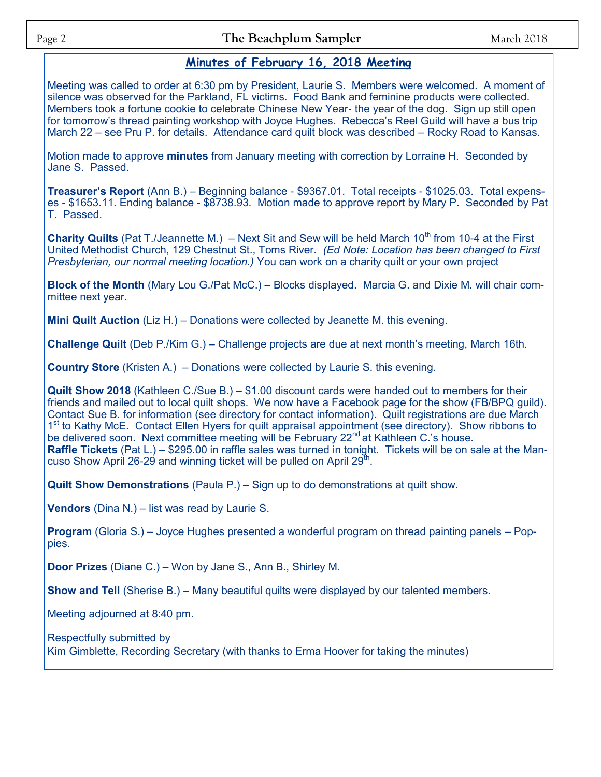### **Minutes of February 16, 2018 Meeting**

Meeting was called to order at 6:30 pm by President, Laurie S. Members were welcomed. A moment of silence was observed for the Parkland, FL victims. Food Bank and feminine products were collected. Members took a fortune cookie to celebrate Chinese New Year- the year of the dog. Sign up still open for tomorrow's thread painting workshop with Joyce Hughes. Rebecca's Reel Guild will have a bus trip March 22 – see Pru P. for details. Attendance card quilt block was described – Rocky Road to Kansas.

Motion made to approve **minutes** from January meeting with correction by Lorraine H. Seconded by Jane S. Passed.

**Treasurer's Report** (Ann B.) – Beginning balance - \$9367.01. Total receipts - \$1025.03. Total expenses - \$1653.11. Ending balance - \$8738.93. Motion made to approve report by Mary P. Seconded by Pat T. Passed.

**Charity Quilts** (Pat T./Jeannette M.) – Next Sit and Sew will be held March 10<sup>th</sup> from 10-4 at the First United Methodist Church, 129 Chestnut St., Toms River. *(Ed Note: Location has been changed to First Presbyterian, our normal meeting location.)* You can work on a charity quilt or your own project

**Block of the Month** (Mary Lou G./Pat McC.) – Blocks displayed. Marcia G. and Dixie M. will chair committee next year.

**Mini Quilt Auction** (Liz H.) – Donations were collected by Jeanette M. this evening.

**Challenge Quilt** (Deb P./Kim G.) – Challenge projects are due at next month's meeting, March 16th.

**Country Store** (Kristen A.)– Donations were collected by Laurie S. this evening.

**Quilt Show 2018** (Kathleen C./Sue B.) – \$1.00 discount cards were handed out to members for their friends and mailed out to local quilt shops. We now have a Facebook page for the show (FB/BPQ guild). Contact Sue B. for information (see directory for contact information). Quilt registrations are due March 1<sup>st</sup> to Kathy McE. Contact Ellen Hyers for quilt appraisal appointment (see directory). Show ribbons to be delivered soon. Next committee meeting will be February 22<sup>nd</sup> at Kathleen C.'s house. **Raffle Tickets** (Pat L.) – \$295.00 in raffle sales was turned in tonight. Tickets will be on sale at the Mancuso Show April 26-29 and winning ticket will be pulled on April 29<sup>th</sup>.

**Quilt Show Demonstrations** (Paula P.) – Sign up to do demonstrations at quilt show.

**Vendors** (Dina N.) – list was read by Laurie S.

**Program** (Gloria S.) – Joyce Hughes presented a wonderful program on thread painting panels – Poppies.

**Door Prizes** (Diane C.) – Won by Jane S., Ann B., Shirley M.

**Show and Tell** (Sherise B.) – Many beautiful quilts were displayed by our talented members.

Meeting adjourned at 8:40 pm.

Respectfully submitted by Kim Gimblette, Recording Secretary (with thanks to Erma Hoover for taking the minutes)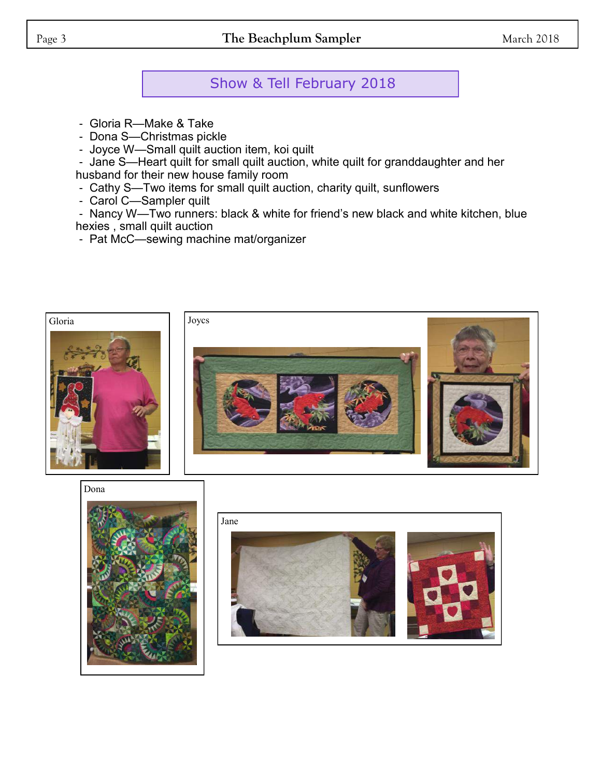# Show & Tell February 2018

- Gloria R—Make & Take
- Dona S—Christmas pickle
- Joyce W—Small quilt auction item, koi quilt

- Jane S—Heart quilt for small quilt auction, white quilt for granddaughter and her husband for their new house family room

- Cathy S—Two items for small quilt auction, charity quilt, sunflowers
- Carol C—Sampler quilt

- Nancy W—Two runners: black & white for friend's new black and white kitchen, blue hexies , small quilt auction

- Pat McC—sewing machine mat/organizer





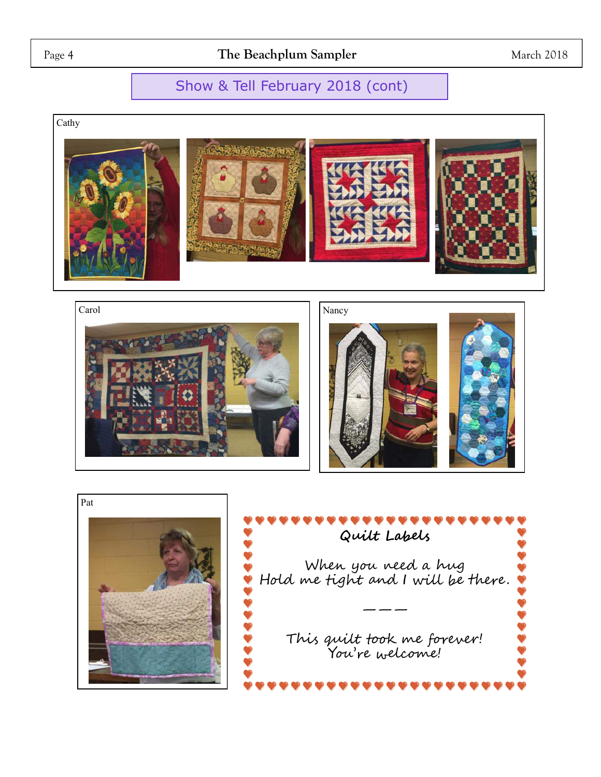## Page 4 **The Beachplum Sampler** March 2018

## Show & Tell February 2018 (cont)

Cathy





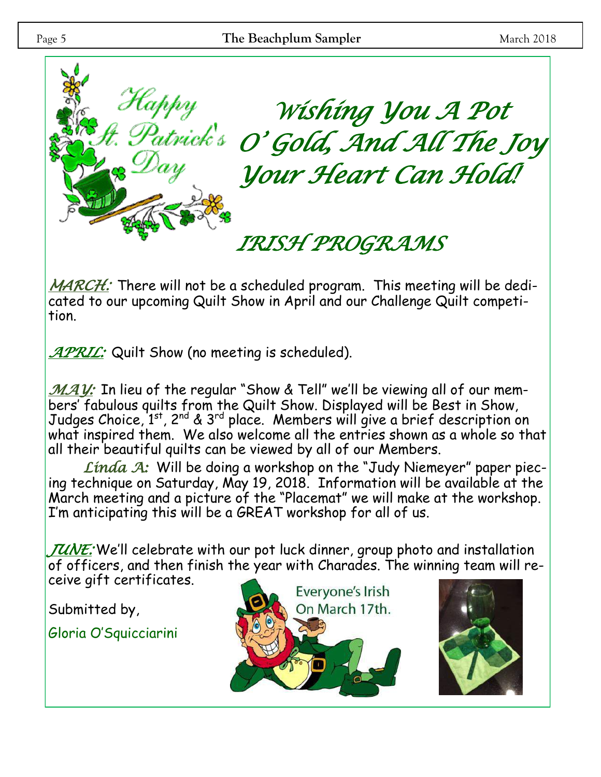

*MARCH:* There will not be a scheduled program. This meeting will be dedicated to our upcoming Quilt Show in April and our Challenge Quilt competition.

*APRIL:* Quilt Show (no meeting is scheduled).

*MAY*: In lieu of the regular "Show & Tell" we'll be viewing all of our members' fabulous quilts from the Quilt Show. Displayed will be Best in Show, Judges Choice, 1st, 2nd & 3rd place. Members will give a brief description on what inspired them. We also welcome all the entries shown as a whole so that all their beautiful quilts can be viewed by all of our Members.

*Linda A:* Will be doing a workshop on the "Judy Niemeyer" paper piecing technique on Saturday, May 19, 2018. Information will be available at the March meeting and a picture of the "Placemat" we will make at the workshop. I'm anticipating this will be a GREAT workshop for all of us.

*JUNE:* We'll celebrate with our pot luck dinner, group photo and installation of officers, and then finish the year with Charades. The winning team will receive gift certificates.

Submitted by,

Gloria O'Squicciarini

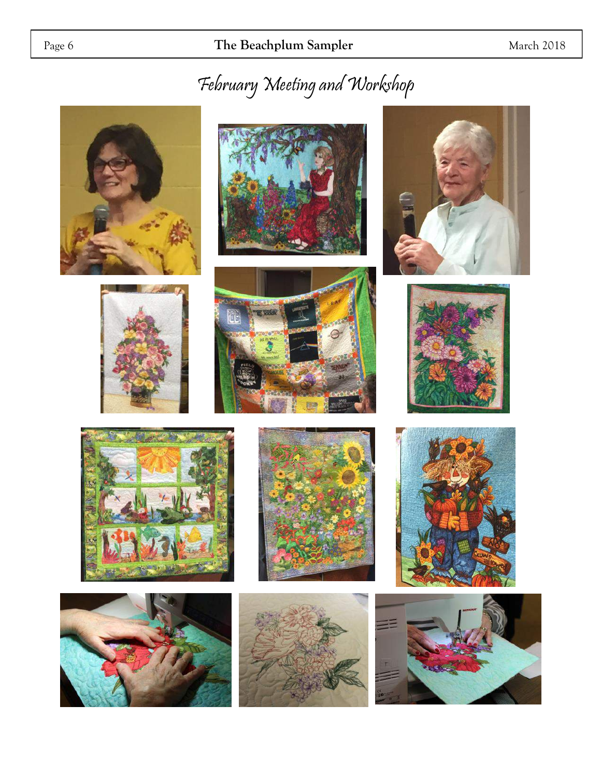# February Meeting and Workshop

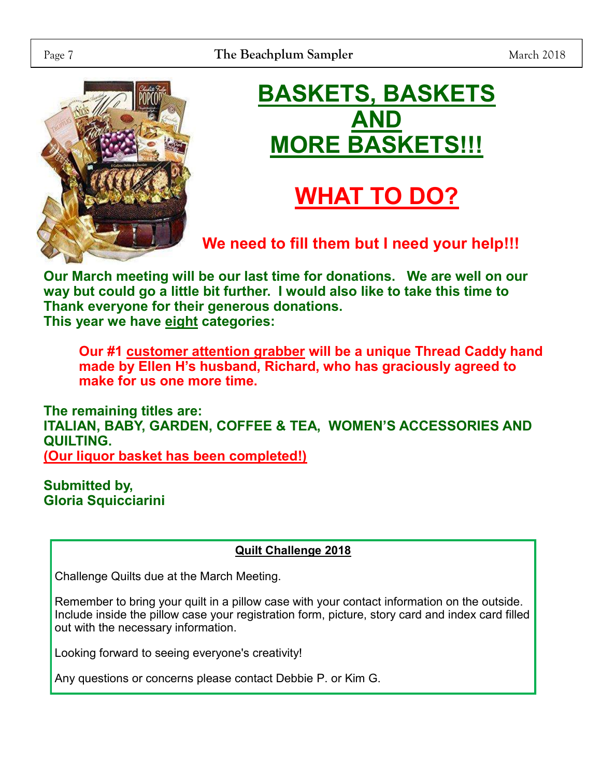

# **BASKETS, BASKETS AND MORE BASKETS!!!**

# **WHAT TO DO?**

**We need to fill them but I need your help!!!**

**Our March meeting will be our last time for donations. We are well on our way but could go a little bit further. I would also like to take this time to Thank everyone for their generous donations. This year we have eight categories:** 

**Our #1 customer attention grabber will be a unique Thread Caddy hand made by Ellen H's husband, Richard, who has graciously agreed to make for us one more time.** 

**The remaining titles are: ITALIAN, BABY, GARDEN, COFFEE & TEA, WOMEN'S ACCESSORIES AND QUILTING. (Our liquor basket has been completed!)**

**Submitted by, Gloria Squicciarini**

### **Quilt Challenge 2018**

Challenge Quilts due at the March Meeting.

Remember to bring your quilt in a pillow case with your contact information on the outside. Include inside the pillow case your registration form, picture, story card and index card filled out with the necessary information.

Looking forward to seeing everyone's creativity!

Any questions or concerns please contact Debbie P. or Kim G.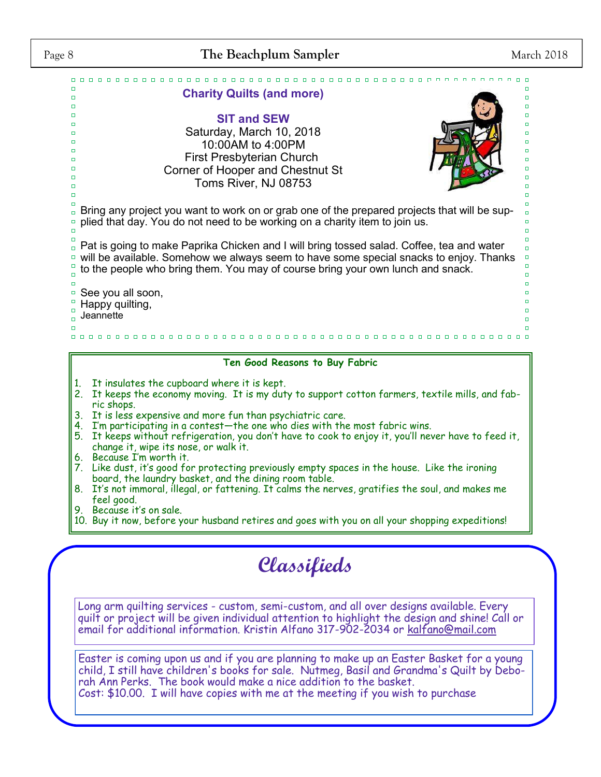

#### **Ten Good Reasons to Buy Fabric**

- 1. It insulates the cupboard where it is kept.
- 2. It keeps the economy moving. It is my duty to support cotton farmers, textile mills, and fabric shops.
- 3. It is less expensive and more fun than psychiatric care.
- 4. I'm participating in a contest—the one who dies with the most fabric wins.
- 5. It keeps without refrigeration, you don't have to cook to enjoy it, you'll never have to feed it, change it, wipe its nose, or walk it.
- 6. Because I'm worth it.
- 7. Like dust, it's good for protecting previously empty spaces in the house. Like the ironing board, the laundry basket, and the dining room table.
- 8. It's not immoral, illegal, or fattening. It calms the nerves, gratifies the soul, and makes me feel good.
- 9. Because it's on sale.
- 10. Buy it now, before your husband retires and goes with you on all your shopping expeditions!

# **Classifieds**

Long arm quilting services - custom, semi-custom, and all over designs available. Every quilt or project will be given individual attention to highlight the design and shine! Call or email for additional information. Kristin Alfano 317-902-2034 or [kalfano@mail.com](mailto:kalfano@mail.com)

Easter is coming upon us and if you are planning to make up an Easter Basket for a young child, I still have children's books for sale. Nutmeg, Basil and Grandma's Quilt by Deborah Ann Perks. The book would make a nice addition to the basket. Cost: \$10.00. I will have copies with me at the meeting if you wish to purchase